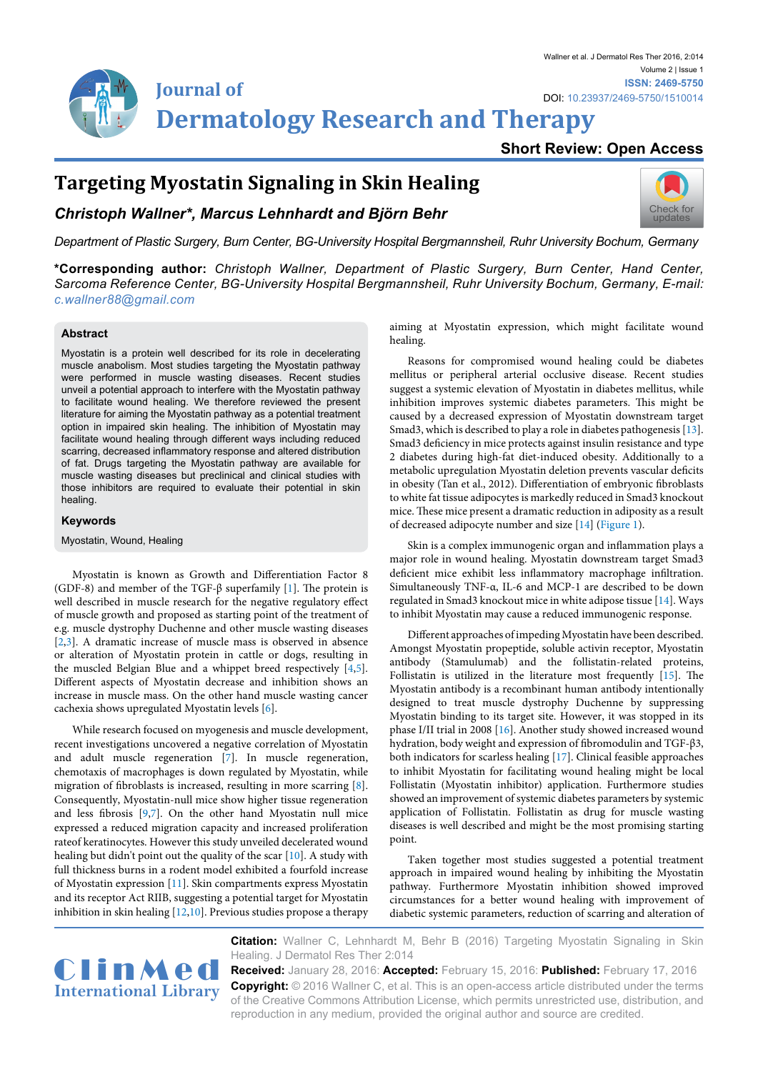

## **Short Review: Open Access**

# **Targeting Myostatin Signaling in Skin Healing**

### *Christoph Wallner\*, Marcus Lehnhardt and Björn Behr*



*Department of Plastic Surgery, Burn Center, BG-University Hospital Bergmannsheil, Ruhr University Bochum, Germany*

**\*Corresponding author:** *Christoph Wallner, Department of Plastic Surgery, Burn Center, Hand Center, Sarcoma Reference Center, BG-University Hospital Bergmannsheil, Ruhr University Bochum, Germany, E-mail: c.wallner88@gmail.com*

#### **Abstract**

Myostatin is a protein well described for its role in decelerating muscle anabolism. Most studies targeting the Myostatin pathway were performed in muscle wasting diseases. Recent studies unveil a potential approach to interfere with the Myostatin pathway to facilitate wound healing. We therefore reviewed the present literature for aiming the Myostatin pathway as a potential treatment option in impaired skin healing. The inhibition of Myostatin may facilitate wound healing through different ways including reduced scarring, decreased inflammatory response and altered distribution of fat. Drugs targeting the Myostatin pathway are available for muscle wasting diseases but preclinical and clinical studies with those inhibitors are required to evaluate their potential in skin healing.

#### **Keywords**

Myostatin, Wound, Healing

Myostatin is known as Growth and Differentiation Factor 8 (GDF-8) and member of the TGF- $\beta$  superfamily [[1](#page-1-6)]. The protein is well described in muscle research for the negative regulatory effect of muscle growth and proposed as starting point of the treatment of e.g. muscle dystrophy Duchenne and other muscle wasting diseases [[2,](#page-1-7)[3](#page-1-8)]. A dramatic increase of muscle mass is observed in absence or alteration of Myostatin protein in cattle or dogs, resulting in the muscled Belgian Blue and a whippet breed respectively [\[4,](#page-1-9)[5\]](#page-1-10). Different aspects of Myostatin decrease and inhibition shows an increase in muscle mass. On the other hand muscle wasting cancer cachexia shows upregulated Myostatin levels [[6\]](#page-1-11).

While research focused on myogenesis and muscle development, recent investigations uncovered a negative correlation of Myostatin and adult muscle regeneration [\[7\]](#page-1-12). In muscle regeneration, chemotaxis of macrophages is down regulated by Myostatin, while migration of fibroblasts is increased, resulting in more scarring [[8\]](#page-1-13). Consequently, Myostatin-null mice show higher tissue regeneration and less fibrosis [\[9](#page-1-14)[,7\]](#page-1-12). On the other hand Myostatin null mice expressed a reduced migration capacity and increased proliferation rateof keratinocytes. However this study unveiled decelerated wound healing but didn't point out the quality of the scar [\[10\]](#page-1-15). A study with full thickness burns in a rodent model exhibited a fourfold increase of Myostatin expression [[11](#page-1-16)]. Skin compartments express Myostatin and its receptor Act RIIB, suggesting a potential target for Myostatin inhibition in skin healing [\[12,](#page-1-17)[10](#page-1-15)]. Previous studies propose a therapy

aiming at Myostatin expression, which might facilitate wound healing.

Reasons for compromised wound healing could be diabetes mellitus or peripheral arterial occlusive disease. Recent studies suggest a systemic elevation of Myostatin in diabetes mellitus, while inhibition improves systemic diabetes parameters. This might be caused by a decreased expression of Myostatin downstream target Smad3, which is described to play a role in diabetes pathogenesis [[13\]](#page-1-0). Smad3 deficiency in mice protects against insulin resistance and type 2 diabetes during high-fat diet-induced obesity. Additionally to a metabolic upregulation Myostatin deletion prevents vascular deficits in obesity (Tan et al., 2012). Differentiation of embryonic fibroblasts to white fat tissue adipocytes is markedly reduced in Smad3 knockout mice. These mice present a dramatic reduction in adiposity as a result of decreased adipocyte number and size [[14](#page-1-1)] ([Figure 1](#page-1-2)).

Skin is a complex immunogenic organ and inflammation plays a major role in wound healing. Myostatin downstream target Smad3 deficient mice exhibit less inflammatory macrophage infiltration. Simultaneously TNF-α, IL-6 and MCP-1 are described to be down regulated in Smad3 knockout mice in white adipose tissue [\[14\]](#page-1-1). Ways to inhibit Myostatin may cause a reduced immunogenic response.

Different approaches of impeding Myostatin have been described. Amongst Myostatin propeptide, soluble activin receptor, Myostatin antibody (Stamulumab) and the follistatin-related proteins, Follistatin is utilized in the literature most frequently [\[15\]](#page-1-3). The Myostatin antibody is a recombinant human antibody intentionally designed to treat muscle dystrophy Duchenne by suppressing Myostatin binding to its target site. However, it was stopped in its phase I/II trial in 2008 [[16](#page-1-4)]. Another study showed increased wound hydration, body weight and expression of fibromodulin and TGF-β3, both indicators for scarless healing [[17](#page-1-5)]. Clinical feasible approaches to inhibit Myostatin for facilitating wound healing might be local Follistatin (Myostatin inhibitor) application. Furthermore studies showed an improvement of systemic diabetes parameters by systemic application of Follistatin. Follistatin as drug for muscle wasting diseases is well described and might be the most promising starting point.

Taken together most studies suggested a potential treatment approach in impaired wound healing by inhibiting the Myostatin pathway. Furthermore Myostatin inhibition showed improved circumstances for a better wound healing with improvement of diabetic systemic parameters, reduction of scarring and alteration of



**Citation:** Wallner C, Lehnhardt M, Behr B (2016) Targeting Myostatin Signaling in Skin Healing. J Dermatol Res Ther 2:014

**Received:** January 28, 2016: **Accepted:** February 15, 2016: **Published:** February 17, 2016 **Copyright:** © 2016 Wallner C, et al. This is an open-access article distributed under the terms of the Creative Commons Attribution License, which permits unrestricted use, distribution, and reproduction in any medium, provided the original author and source are credited.